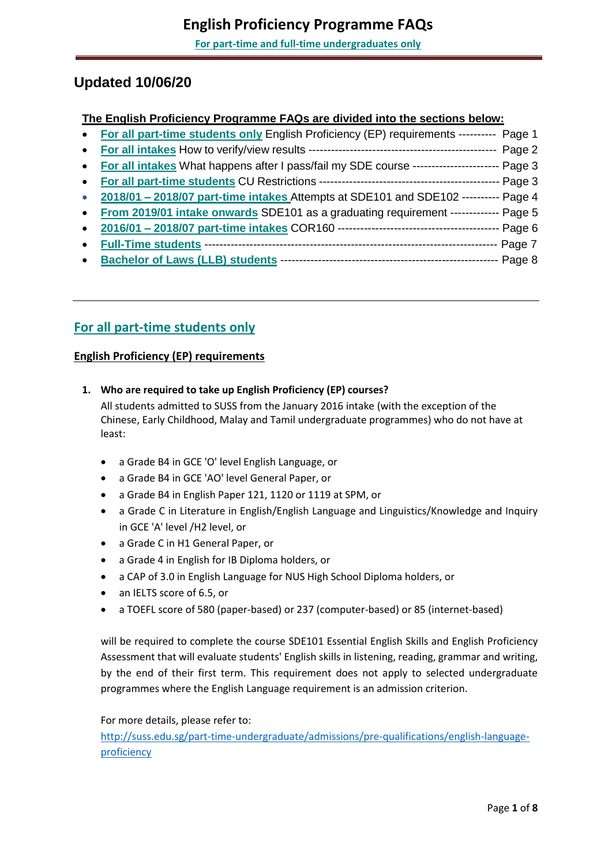# **Updated 10/06/20**

## **The English Proficiency Programme FAQs are divided into the sections below:**

|           | • For all part-time students only English Proficiency (EP) requirements ---------- Page 1 |          |
|-----------|-------------------------------------------------------------------------------------------|----------|
| $\bullet$ |                                                                                           | Page 2   |
| $\bullet$ | For all intakes What happens after I pass/fail my SDE course --------------------         | Page 3   |
| $\bullet$ |                                                                                           | Page 3   |
| $\bullet$ | 2018/01 - 2018/07 part-time intakes Attempts at SDE101 and SDE102 ---------- Page 4       |          |
| $\bullet$ | From 2019/01 intake onwards SDE101 as a graduating requirement ------------- Page 5       |          |
| $\bullet$ |                                                                                           | Page 6   |
| $\bullet$ |                                                                                           | Page 7   |
|           |                                                                                           | - Page 8 |

# **For all part-time students only**

## **English Proficiency (EP) requirements**

- **1. Who are required to take up English Proficiency (EP) courses?** All students admitted to SUSS from the January 2016 intake (with the exception of the Chinese, Early Childhood, Malay and Tamil undergraduate programmes) who do not have at least:
	- a Grade B4 in GCE 'O' level English Language, or
	- a Grade B4 in GCE 'AO' level General Paper, or
	- a Grade B4 in English Paper 121, 1120 or 1119 at SPM, or
	- a Grade C in Literature in English/English Language and Linguistics/Knowledge and Inquiry in GCE 'A' level /H2 level, or
	- a Grade C in H1 General Paper, or
	- a Grade 4 in English for IB Diploma holders, or
	- a CAP of 3.0 in English Language for NUS High School Diploma holders, or
	- an IELTS score of 6.5, or
	- a TOEFL score of 580 (paper-based) or 237 (computer-based) or 85 (internet-based)

will be required to complete the course SDE101 Essential English Skills and English Proficiency Assessment that will evaluate students' English skills in listening, reading, grammar and writing, by the end of their first term. This requirement does not apply to selected undergraduate programmes where the English Language requirement is an admission criterion.

For more details, please refer to:

[http://suss.edu.sg/part-time-undergraduate/admissions/pre-qualifications/english-language](http://suss.edu.sg/part-time-undergraduate/admissions/pre-qualifications/english-language-proficiency)[proficiency](http://suss.edu.sg/part-time-undergraduate/admissions/pre-qualifications/english-language-proficiency)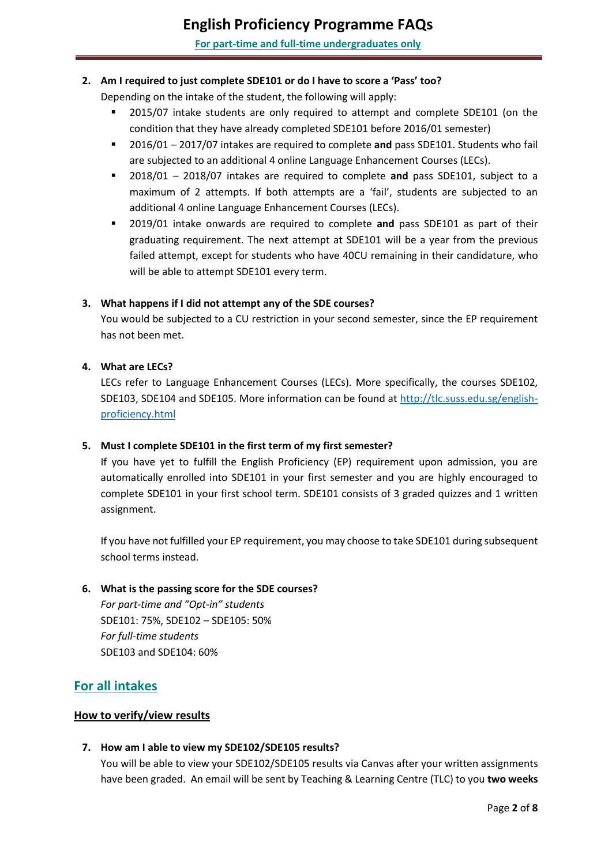#### <span id="page-1-0"></span>**2. Am I required to just complete SDE101 or do I have to score a 'Pass' too?**

Depending on the intake of the student, the following will apply:

- 2015/07 intake students are only required to attempt and complete SDE101 (on the condition that they have already completed SDE101 before 2016/01 semester)
- 2016/01 2017/07 intakes are required to complete **and** pass SDE101. Students who fail are subjected to an additional 4 online Language Enhancement Courses (LECs).
- 2018/01 2018/07 intakes are required to complete **and** pass SDE101, subject to a maximum of 2 attempts. If both attempts are a 'fail', students are subjected to an additional 4 online Language Enhancement Courses (LECs).
- 2019/01 intake onwards are required to complete **and** pass SDE101 as part of their graduating requirement. The next attempt at SDE101 will be a year from the previous failed attempt, except for students who have 40CU remaining in their candidature, who will be able to attempt SDE101 every term.

#### **3. What happens if I did not attempt any of the SDE courses?**

You would be subjected to a CU restriction in your second semester, since the EP requirement has not been met.

#### **4. What are LECs?**

LECs refer to Language Enhancement Courses (LECs). More specifically, the courses SDE102, SDE103, SDE104 and SDE105. More information can be found at [http://tlc.suss.edu.sg/english](http://tlc.suss.edu.sg/english-proficiency.html)[proficiency.html](http://tlc.suss.edu.sg/english-proficiency.html)

#### **5. Must I complete SDE101 in the first term of my first semester?**

If you have yet to fulfill the English Proficiency (EP) requirement upon admission, you are automatically enrolled into SDE101 in your first semester and you are highly encouraged to complete SDE101 in your first school term. SDE101 consists of 3 graded quizzes and 1 written assignment.

If you have not fulfilled your EP requirement, you may choose to take SDE101 during subsequent school terms instead.

#### **6. What is the passing score for the SDE courses?**

*For part-time and "Opt-in" students* SDE101: 75%, SDE102 – SDE105: 50% *For full-time students* SDE103 and SDE104: 60%

## **For all intakes**

#### **How to verify/view results**

#### **7. How am I able to view my SDE102/SDE105 results?**

You will be able to view your SDE102/SDE105 results via Canvas after your written assignments have been graded. An email will be sent by Teaching & Learning Centre (TLC) to you **two weeks**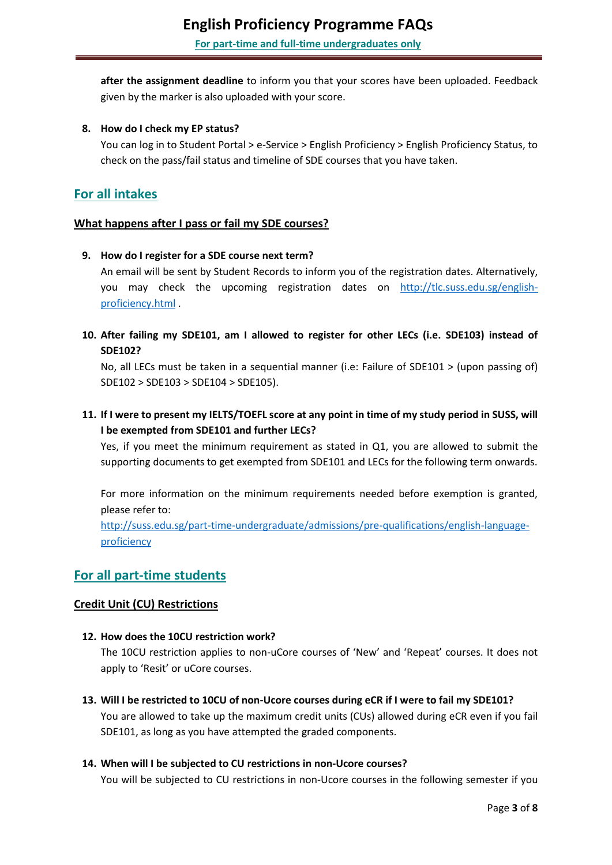<span id="page-2-0"></span>**after the assignment deadline** to inform you that your scores have been uploaded. Feedback given by the marker is also uploaded with your score.

#### **8. How do I check my EP status?**

You can log in to Student Portal > e-Service > English Proficiency > English Proficiency Status, to check on the pass/fail status and timeline of SDE courses that you have taken.

## **For all intakes**

#### **What happens after I pass or fail my SDE courses?**

#### **9. How do I register for a SDE course next term?**

An email will be sent by Student Records to inform you of the registration dates. Alternatively, you may check the upcoming registration dates on [http://tlc.suss.edu.sg/english](http://tlc.suss.edu.sg/english-proficiency.html)[proficiency.html](http://tlc.suss.edu.sg/english-proficiency.html) .

**10. After failing my SDE101, am I allowed to register for other LECs (i.e. SDE103) instead of SDE102?**

No, all LECs must be taken in a sequential manner (i.e: Failure of SDE101 > (upon passing of) SDE102 > SDE103 > SDE104 > SDE105).

## **11. If I were to present my IELTS/TOEFL score at any point in time of my study period in SUSS, will I be exempted from SDE101 and further LECs?**

Yes, if you meet the minimum requirement as stated in Q1, you are allowed to submit the supporting documents to get exempted from SDE101 and LECs for the following term onwards.

For more information on the minimum requirements needed before exemption is granted, please refer to:

[http://suss.edu.sg/part-time-undergraduate/admissions/pre-qualifications/english-language](http://suss.edu.sg/part-time-undergraduate/admissions/pre-qualifications/english-language-proficiency)[proficiency](http://suss.edu.sg/part-time-undergraduate/admissions/pre-qualifications/english-language-proficiency)

## **For all part-time students**

#### **Credit Unit (CU) Restrictions**

#### **12. How does the 10CU restriction work?**

The 10CU restriction applies to non-uCore courses of 'New' and 'Repeat' courses. It does not apply to 'Resit' or uCore courses.

**13. Will I be restricted to 10CU of non-Ucore courses during eCR if I were to fail my SDE101?** You are allowed to take up the maximum credit units (CUs) allowed during eCR even if you fail SDE101, as long as you have attempted the graded components.

#### **14. When will I be subjected to CU restrictions in non-Ucore courses?**

You will be subjected to CU restrictions in non-Ucore courses in the following semester if you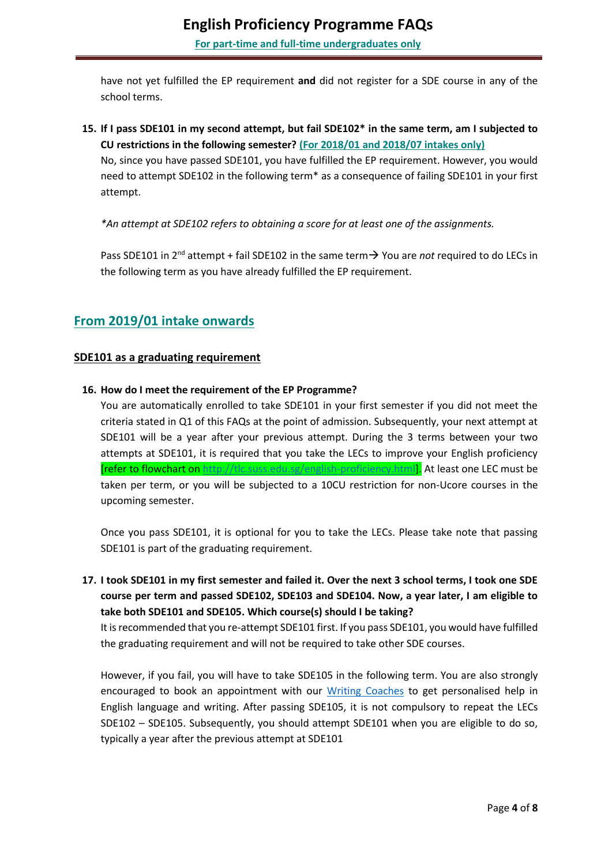<span id="page-3-0"></span>have not yet fulfilled the EP requirement **and** did not register for a SDE course in any of the school terms.

**15. If I pass SDE101 in my second attempt, but fail SDE102\* in the same term, am I subjected to CU restrictions in the following semester? (For 2018/01 and 2018/07 intakes only)**

No, since you have passed SDE101, you have fulfilled the EP requirement. However, you would need to attempt SDE102 in the following term\* as a consequence of failing SDE101 in your first attempt.

*\*An attempt at SDE102 refers to obtaining a score for at least one of the assignments.*

Pass SDE101 in 2<sup>nd</sup> attempt + fail SDE102 in the same term > You are *not* required to do LECs in the following term as you have already fulfilled the EP requirement.

# **From 2019/01 intake onwards**

### **SDE101 as a graduating requirement**

### **16. How do I meet the requirement of the EP Programme?**

You are automatically enrolled to take SDE101 in your first semester if you did not meet the criteria stated in Q1 of this FAQs at the point of admission. Subsequently, your next attempt at SDE101 will be a year after your previous attempt. During the 3 terms between your two attempts at SDE101, it is required that you take the LECs to improve your English proficiency [refer to flowchart on [http://tlc.suss.edu.sg/english-proficiency.html\]](http://tlc.suss.edu.sg/english-proficiency.html). At least one LEC must be taken per term, or you will be subjected to a 10CU restriction for non-Ucore courses in the upcoming semester.

Once you pass SDE101, it is optional for you to take the LECs. Please take note that passing SDE101 is part of the graduating requirement.

**17. I took SDE101 in my first semester and failed it. Over the next 3 school terms, I took one SDE course per term and passed SDE102, SDE103 and SDE104. Now, a year later, I am eligible to take both SDE101 and SDE105. Which course(s) should I be taking?**

It is recommended that you re-attempt SDE101 first. If you pass SDE101, you would have fulfilled the graduating requirement and will not be required to take other SDE courses.

However, if you fail, you will have to take SDE105 in the following term. You are also strongly encouraged to book an appointment with our [Writing Coaches](http://tlc.suss.edu.sg/writing-coaches.html) to get personalised help in English language and writing. After passing SDE105, it is not compulsory to repeat the LECs SDE102 – SDE105. Subsequently, you should attempt SDE101 when you are eligible to do so, typically a year after the previous attempt at SDE101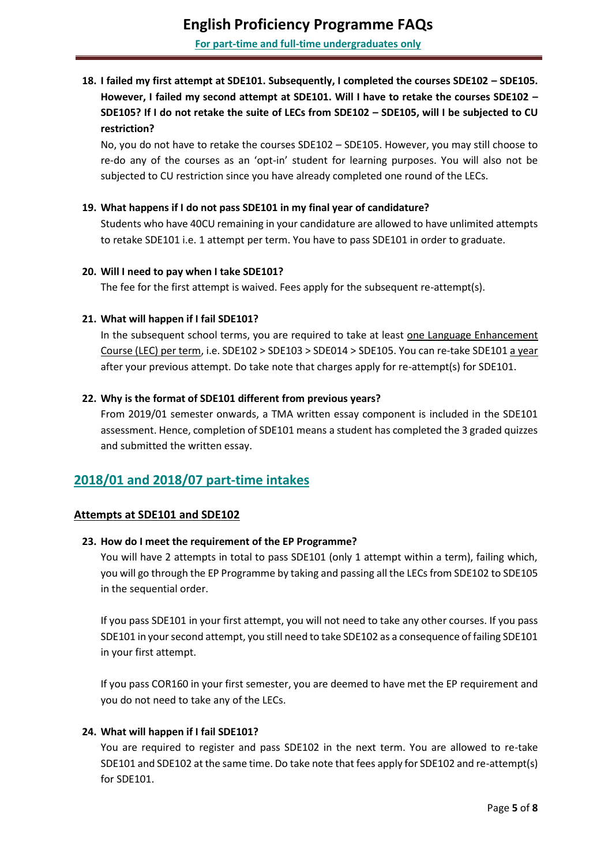## <span id="page-4-0"></span>**18. I failed my first attempt at SDE101. Subsequently, I completed the courses SDE102 – SDE105. However, I failed my second attempt at SDE101. Will I have to retake the courses SDE102 – SDE105? If I do not retake the suite of LECs from SDE102 – SDE105, will I be subjected to CU restriction?**

No, you do not have to retake the courses SDE102 – SDE105. However, you may still choose to re-do any of the courses as an 'opt-in' student for learning purposes. You will also not be subjected to CU restriction since you have already completed one round of the LECs.

#### **19. What happens if I do not pass SDE101 in my final year of candidature?**

Students who have 40CU remaining in your candidature are allowed to have unlimited attempts to retake SDE101 i.e. 1 attempt per term. You have to pass SDE101 in order to graduate.

#### **20. Will I need to pay when I take SDE101?**

The fee for the first attempt is waived. Fees apply for the subsequent re-attempt(s).

#### **21. What will happen if I fail SDE101?**

In the subsequent school terms, you are required to take at least one Language Enhancement Course (LEC) per term, i.e. SDE102 > SDE103 > SDE014 > SDE105. You can re-take SDE101 a year after your previous attempt. Do take note that charges apply for re-attempt(s) for SDE101.

#### **22. Why is the format of SDE101 different from previous years?**

From 2019/01 semester onwards, a TMA written essay component is included in the SDE101 assessment. Hence, completion of SDE101 means a student has completed the 3 graded quizzes and submitted the written essay.

## **2018/01 and 2018/07 part-time intakes**

### **Attempts at SDE101 and SDE102**

#### **23. How do I meet the requirement of the EP Programme?**

You will have 2 attempts in total to pass SDE101 (only 1 attempt within a term), failing which, you will go through the EP Programme by taking and passing all the LECs from SDE102 to SDE105 in the sequential order.

If you pass SDE101 in your first attempt, you will not need to take any other courses. If you pass SDE101 in your second attempt, you still need to take SDE102 as a consequence of failing SDE101 in your first attempt.

If you pass COR160 in your first semester, you are deemed to have met the EP requirement and you do not need to take any of the LECs.

### **24. What will happen if I fail SDE101?**

You are required to register and pass SDE102 in the next term. You are allowed to re-take SDE101 and SDE102 at the same time. Do take note that fees apply for SDE102 and re-attempt(s) for SDE101.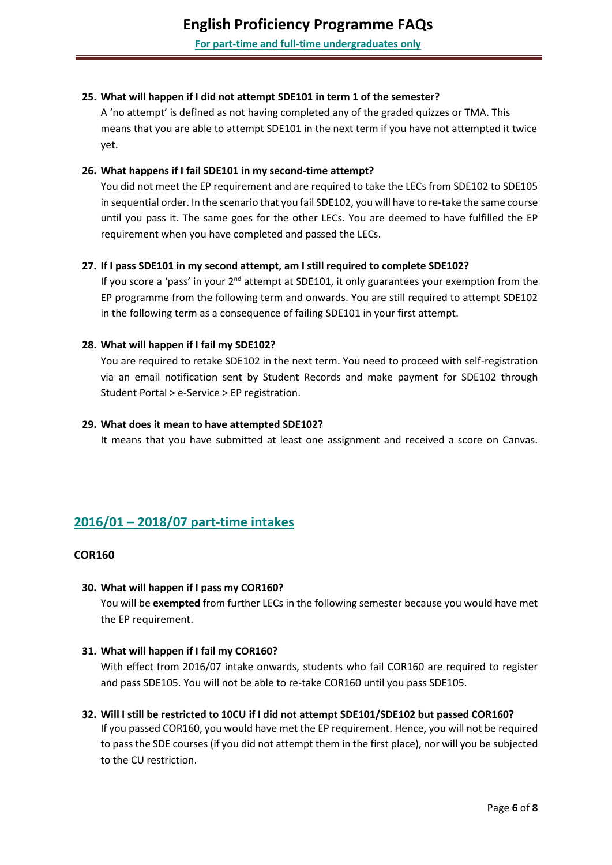#### <span id="page-5-0"></span>**25. What will happen if I did not attempt SDE101 in term 1 of the semester?**

A 'no attempt' is defined as not having completed any of the graded quizzes or TMA. This means that you are able to attempt SDE101 in the next term if you have not attempted it twice yet.

#### **26. What happens if I fail SDE101 in my second-time attempt?**

You did not meet the EP requirement and are required to take the LECs from SDE102 to SDE105 in sequential order. In the scenario that you fail SDE102, you will have to re-take the same course until you pass it. The same goes for the other LECs. You are deemed to have fulfilled the EP requirement when you have completed and passed the LECs.

#### **27. If I pass SDE101 in my second attempt, am I still required to complete SDE102?**

If you score a 'pass' in your 2<sup>nd</sup> attempt at SDE101, it only guarantees your exemption from the EP programme from the following term and onwards. You are still required to attempt SDE102 in the following term as a consequence of failing SDE101 in your first attempt.

#### **28. What will happen if I fail my SDE102?**

You are required to retake SDE102 in the next term. You need to proceed with self-registration via an email notification sent by Student Records and make payment for SDE102 through Student Portal > e-Service > EP registration.

#### **29. What does it mean to have attempted SDE102?**

It means that you have submitted at least one assignment and received a score on Canvas.

# **2016/01 – 2018/07 part-time intakes**

#### **COR160**

#### **30. What will happen if I pass my COR160?**

You will be **exempted** from further LECs in the following semester because you would have met the EP requirement.

#### **31. What will happen if I fail my COR160?**

With effect from 2016/07 intake onwards, students who fail COR160 are required to register and pass SDE105. You will not be able to re-take COR160 until you pass SDE105.

## **32. Will I still be restricted to 10CU if I did not attempt SDE101/SDE102 but passed COR160?** If you passed COR160, you would have met the EP requirement. Hence, you will not be required to pass the SDE courses (if you did not attempt them in the first place), nor will you be subjected to the CU restriction.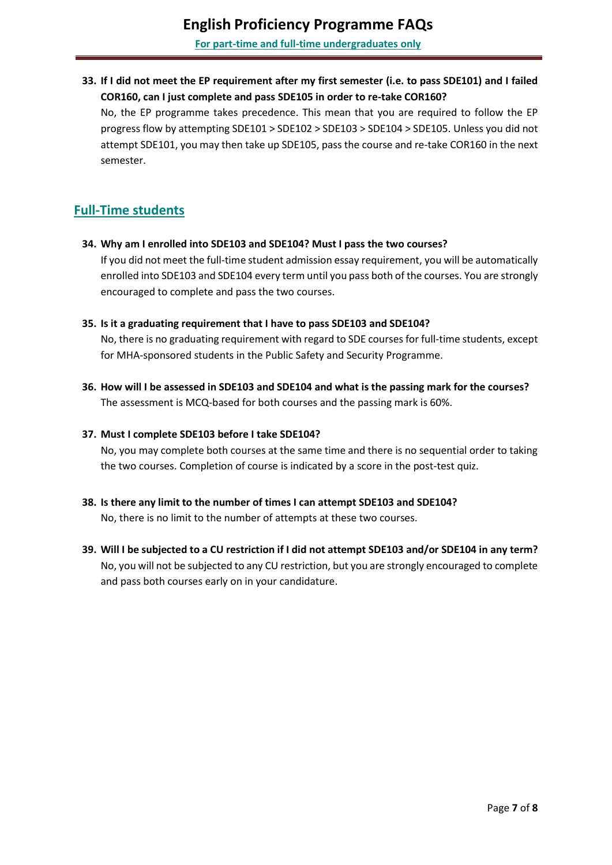<span id="page-6-0"></span>**33. If I did not meet the EP requirement after my first semester (i.e. to pass SDE101) and I failed COR160, can I just complete and pass SDE105 in order to re-take COR160?**

No, the EP programme takes precedence. This mean that you are required to follow the EP progress flow by attempting SDE101 > SDE102 > SDE103 > SDE104 > SDE105. Unless you did not attempt SDE101, you may then take up SDE105, pass the course and re-take COR160 in the next semester.

## **Full-Time students**

**34. Why am I enrolled into SDE103 and SDE104? Must I pass the two courses?**

If you did not meet the full-time student admission essay requirement, you will be automatically enrolled into SDE103 and SDE104 every term until you pass both of the courses. You are strongly encouraged to complete and pass the two courses.

#### **35. Is it a graduating requirement that I have to pass SDE103 and SDE104?**

No, there is no graduating requirement with regard to SDE courses for full-time students, except for MHA-sponsored students in the Public Safety and Security Programme.

**36. How will I be assessed in SDE103 and SDE104 and what is the passing mark for the courses?** The assessment is MCQ-based for both courses and the passing mark is 60%.

#### **37. Must I complete SDE103 before I take SDE104?**

No, you may complete both courses at the same time and there is no sequential order to taking the two courses. Completion of course is indicated by a score in the post-test quiz.

**38. Is there any limit to the number of times I can attempt SDE103 and SDE104?**

No, there is no limit to the number of attempts at these two courses.

**39. Will I be subjected to a CU restriction if I did not attempt SDE103 and/or SDE104 in any term?** No, you will not be subjected to any CU restriction, but you are strongly encouraged to complete and pass both courses early on in your candidature.